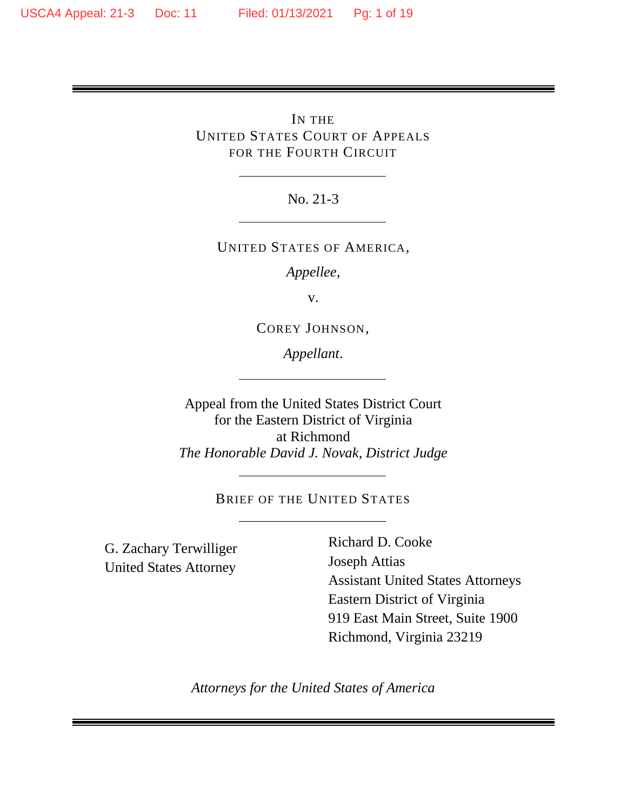IN THE UNITED STATES COURT OF APPEALS FOR THE FOURTH CIRCUIT

No. 21-3

UNITED STATES OF AMERICA,

*Appellee*,

v.

COREY JOHNSON,

*Appellant*.

Appeal from the United States District Court for the Eastern District of Virginia at Richmond *The Honorable David J. Novak, District Judge*

BRIEF OF THE UNITED STATES

G. Zachary Terwilliger United States Attorney

Richard D. Cooke Joseph Attias Assistant United States Attorneys Eastern District of Virginia 919 East Main Street, Suite 1900 Richmond, Virginia 23219

*Attorneys for the United States of America*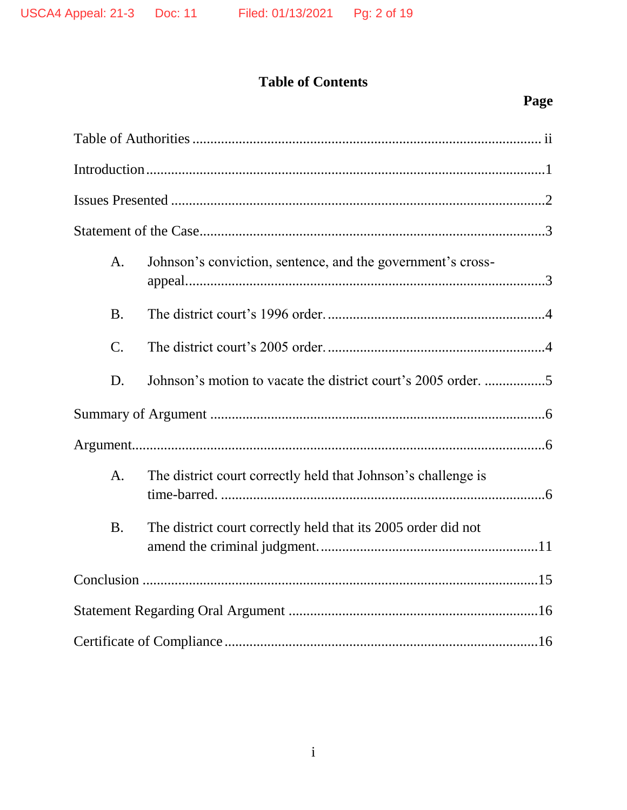# **Table of Contents**

| A.              | Johnson's conviction, sentence, and the government's cross-   |  |
|-----------------|---------------------------------------------------------------|--|
| <b>B.</b>       |                                                               |  |
| $\mathcal{C}$ . |                                                               |  |
| D.              |                                                               |  |
|                 |                                                               |  |
|                 |                                                               |  |
| A <sub>1</sub>  | The district court correctly held that Johnson's challenge is |  |
| <b>B.</b>       | The district court correctly held that its 2005 order did not |  |
|                 |                                                               |  |
|                 |                                                               |  |
|                 |                                                               |  |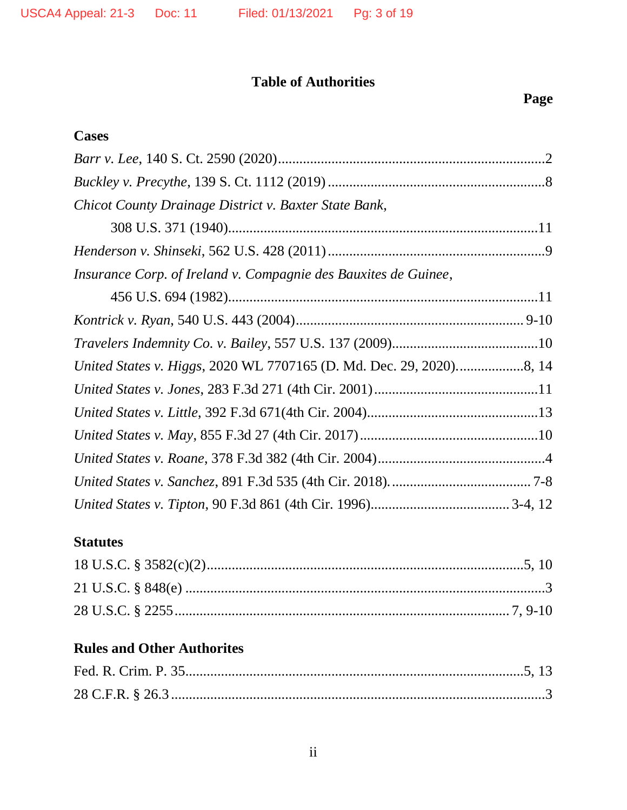## **Table of Authorities**

## **Cases**

| Chicot County Drainage District v. Baxter State Bank,           |  |
|-----------------------------------------------------------------|--|
|                                                                 |  |
|                                                                 |  |
| Insurance Corp. of Ireland v. Compagnie des Bauxites de Guinee, |  |
|                                                                 |  |
|                                                                 |  |
|                                                                 |  |
|                                                                 |  |
|                                                                 |  |
|                                                                 |  |
|                                                                 |  |
|                                                                 |  |
|                                                                 |  |
|                                                                 |  |

## **Statutes**

## **Rules and Other Authorites**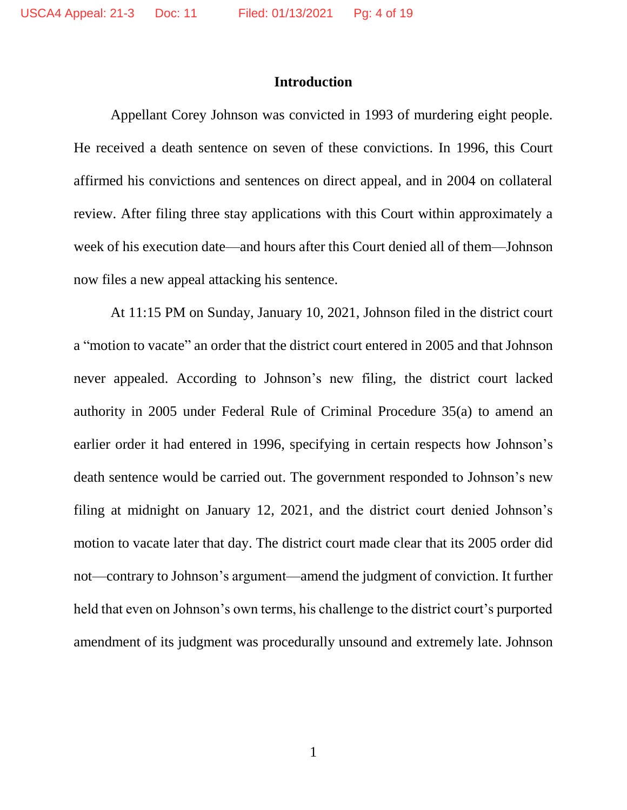#### **Introduction**

Appellant Corey Johnson was convicted in 1993 of murdering eight people. He received a death sentence on seven of these convictions. In 1996, this Court affirmed his convictions and sentences on direct appeal, and in 2004 on collateral review. After filing three stay applications with this Court within approximately a week of his execution date—and hours after this Court denied all of them—Johnson now files a new appeal attacking his sentence.

At 11:15 PM on Sunday, January 10, 2021, Johnson filed in the district court a "motion to vacate" an order that the district court entered in 2005 and that Johnson never appealed. According to Johnson's new filing, the district court lacked authority in 2005 under Federal Rule of Criminal Procedure 35(a) to amend an earlier order it had entered in 1996, specifying in certain respects how Johnson's death sentence would be carried out. The government responded to Johnson's new filing at midnight on January 12, 2021, and the district court denied Johnson's motion to vacate later that day. The district court made clear that its 2005 order did not—contrary to Johnson's argument—amend the judgment of conviction. It further held that even on Johnson's own terms, his challenge to the district court's purported amendment of its judgment was procedurally unsound and extremely late. Johnson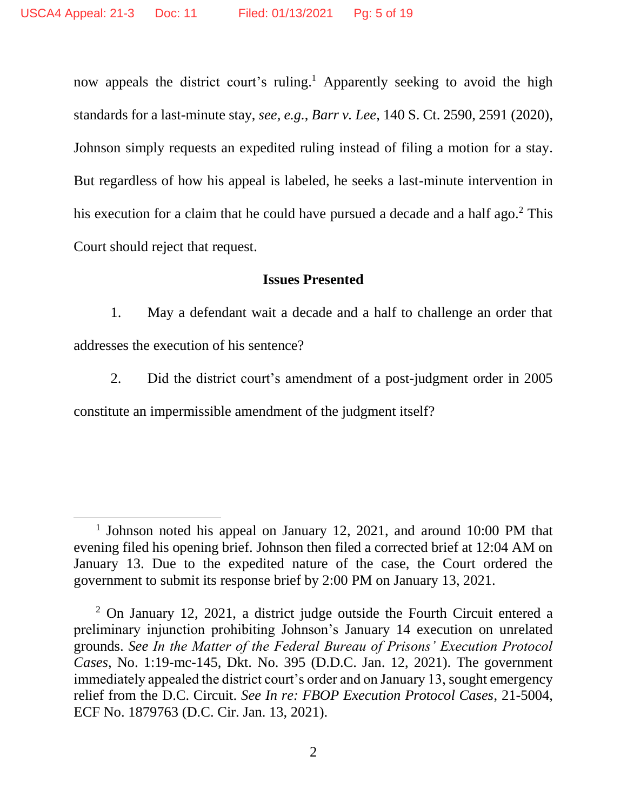$\overline{\phantom{a}}$ 

now appeals the district court's ruling.<sup>1</sup> Apparently seeking to avoid the high standards for a last-minute stay, *see, e.g.*, *Barr v. Lee*, 140 S. Ct. 2590, 2591 (2020), Johnson simply requests an expedited ruling instead of filing a motion for a stay. But regardless of how his appeal is labeled, he seeks a last-minute intervention in his execution for a claim that he could have pursued a decade and a half ago.<sup>2</sup> This Court should reject that request.

#### **Issues Presented**

1. May a defendant wait a decade and a half to challenge an order that addresses the execution of his sentence?

2. Did the district court's amendment of a post-judgment order in 2005 constitute an impermissible amendment of the judgment itself?

<sup>&</sup>lt;sup>1</sup> Johnson noted his appeal on January 12, 2021, and around 10:00 PM that evening filed his opening brief. Johnson then filed a corrected brief at 12:04 AM on January 13. Due to the expedited nature of the case, the Court ordered the government to submit its response brief by 2:00 PM on January 13, 2021.

<sup>2</sup> On January 12, 2021, a district judge outside the Fourth Circuit entered a preliminary injunction prohibiting Johnson's January 14 execution on unrelated grounds. *See In the Matter of the Federal Bureau of Prisons' Execution Protocol Cases*, No. 1:19-mc-145, Dkt. No. 395 (D.D.C. Jan. 12, 2021). The government immediately appealed the district court's order and on January 13, sought emergency relief from the D.C. Circuit. *See In re: FBOP Execution Protocol Cases*, 21-5004, ECF No. 1879763 (D.C. Cir. Jan. 13, 2021).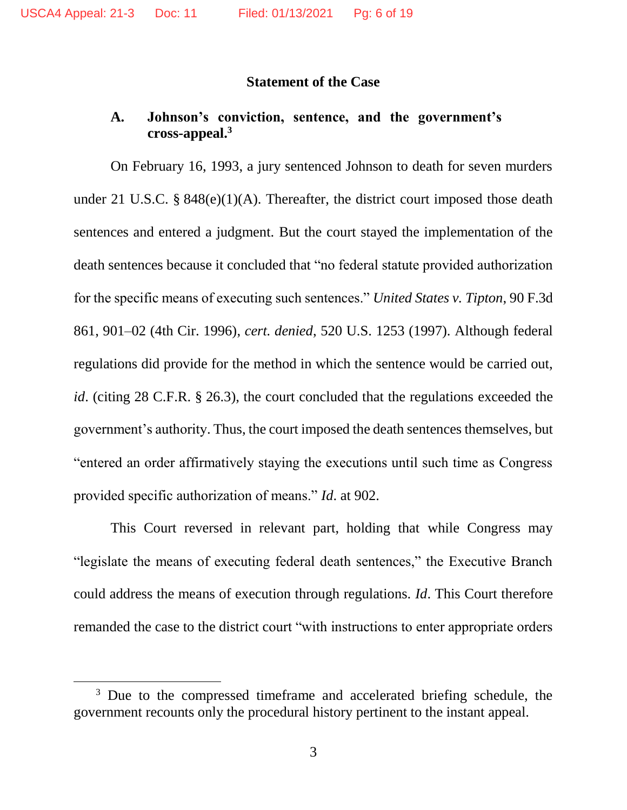#### **Statement of the Case**

#### **A. Johnson's conviction, sentence, and the government's cross-appeal.<sup>3</sup>**

On February 16, 1993, a jury sentenced Johnson to death for seven murders under 21 U.S.C. §  $848(e)(1)(A)$ . Thereafter, the district court imposed those death sentences and entered a judgment. But the court stayed the implementation of the death sentences because it concluded that "no federal statute provided authorization for the specific means of executing such sentences." *United States v. Tipton*, 90 F.3d 861, 901–02 (4th Cir. 1996), *cert. denied*, 520 U.S. 1253 (1997). Although federal regulations did provide for the method in which the sentence would be carried out, *id.* (citing 28 C.F.R. § 26.3), the court concluded that the regulations exceeded the government's authority. Thus, the court imposed the death sentences themselves, but "entered an order affirmatively staying the executions until such time as Congress provided specific authorization of means." *Id*. at 902.

This Court reversed in relevant part, holding that while Congress may "legislate the means of executing federal death sentences," the Executive Branch could address the means of execution through regulations. *Id*. This Court therefore remanded the case to the district court "with instructions to enter appropriate orders

 $\overline{\phantom{a}}$ 

<sup>&</sup>lt;sup>3</sup> Due to the compressed timeframe and accelerated briefing schedule, the government recounts only the procedural history pertinent to the instant appeal.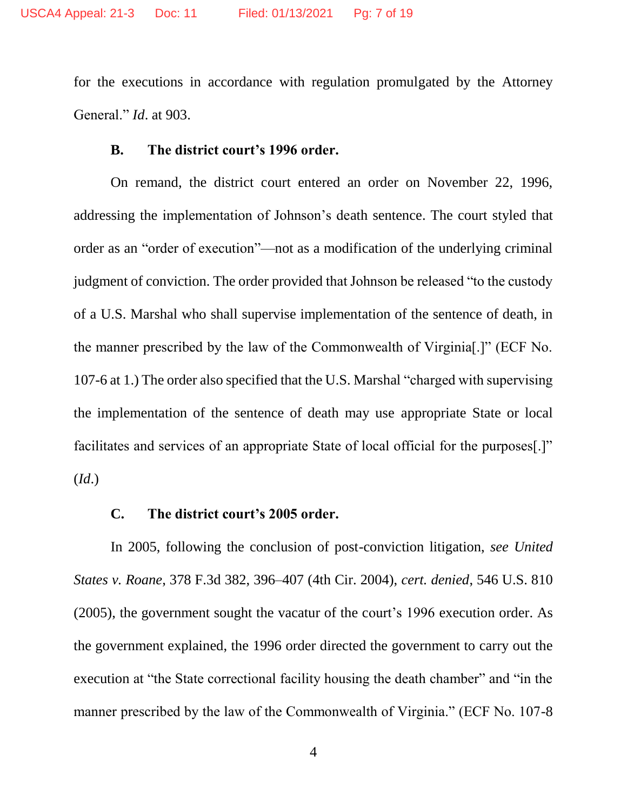for the executions in accordance with regulation promulgated by the Attorney General." *Id*. at 903.

#### **B. The district court's 1996 order.**

On remand, the district court entered an order on November 22, 1996, addressing the implementation of Johnson's death sentence. The court styled that order as an "order of execution"—not as a modification of the underlying criminal judgment of conviction. The order provided that Johnson be released "to the custody of a U.S. Marshal who shall supervise implementation of the sentence of death, in the manner prescribed by the law of the Commonwealth of Virginia[.]" (ECF No. 107-6 at 1.) The order also specified that the U.S. Marshal "charged with supervising the implementation of the sentence of death may use appropriate State or local facilitates and services of an appropriate State of local official for the purposes[.]" (*Id*.)

#### **C. The district court's 2005 order.**

In 2005, following the conclusion of post-conviction litigation, *see United States v. Roane*, 378 F.3d 382, 396–407 (4th Cir. 2004), *cert. denied*, 546 U.S. 810 (2005), the government sought the vacatur of the court's 1996 execution order. As the government explained, the 1996 order directed the government to carry out the execution at "the State correctional facility housing the death chamber" and "in the manner prescribed by the law of the Commonwealth of Virginia." (ECF No. 107-8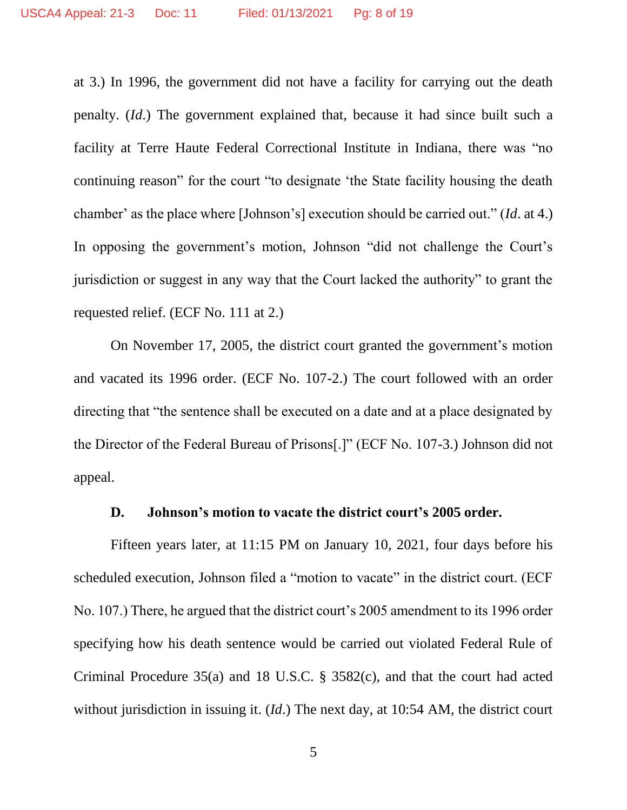at 3.) In 1996, the government did not have a facility for carrying out the death penalty. (*Id*.) The government explained that, because it had since built such a facility at Terre Haute Federal Correctional Institute in Indiana, there was "no continuing reason" for the court "to designate 'the State facility housing the death chamber' as the place where [Johnson's] execution should be carried out." (*Id*. at 4.) In opposing the government's motion, Johnson "did not challenge the Court's jurisdiction or suggest in any way that the Court lacked the authority" to grant the requested relief. (ECF No. 111 at 2.)

On November 17, 2005, the district court granted the government's motion and vacated its 1996 order. (ECF No. 107-2.) The court followed with an order directing that "the sentence shall be executed on a date and at a place designated by the Director of the Federal Bureau of Prisons[.]" (ECF No. 107-3.) Johnson did not appeal.

#### **D. Johnson's motion to vacate the district court's 2005 order.**

Fifteen years later, at 11:15 PM on January 10, 2021, four days before his scheduled execution, Johnson filed a "motion to vacate" in the district court. (ECF No. 107.) There, he argued that the district court's 2005 amendment to its 1996 order specifying how his death sentence would be carried out violated Federal Rule of Criminal Procedure 35(a) and 18 U.S.C. § 3582(c), and that the court had acted without jurisdiction in issuing it. (*Id*.) The next day, at 10:54 AM, the district court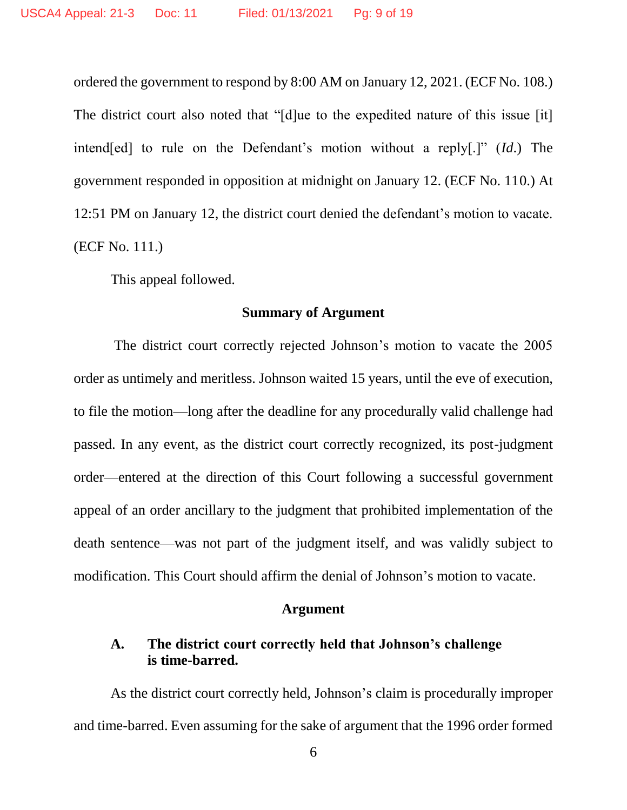ordered the government to respond by 8:00 AM on January 12, 2021. (ECF No. 108.) The district court also noted that "[d]ue to the expedited nature of this issue [it] intend[ed] to rule on the Defendant's motion without a reply[.]" (*Id*.) The government responded in opposition at midnight on January 12. (ECF No. 110.) At 12:51 PM on January 12, the district court denied the defendant's motion to vacate. (ECF No. 111.)

This appeal followed.

#### **Summary of Argument**

The district court correctly rejected Johnson's motion to vacate the 2005 order as untimely and meritless. Johnson waited 15 years, until the eve of execution, to file the motion—long after the deadline for any procedurally valid challenge had passed. In any event, as the district court correctly recognized, its post-judgment order—entered at the direction of this Court following a successful government appeal of an order ancillary to the judgment that prohibited implementation of the death sentence—was not part of the judgment itself, and was validly subject to modification. This Court should affirm the denial of Johnson's motion to vacate.

#### **Argument**

## **A. The district court correctly held that Johnson's challenge is time-barred.**

As the district court correctly held, Johnson's claim is procedurally improper and time-barred. Even assuming for the sake of argument that the 1996 order formed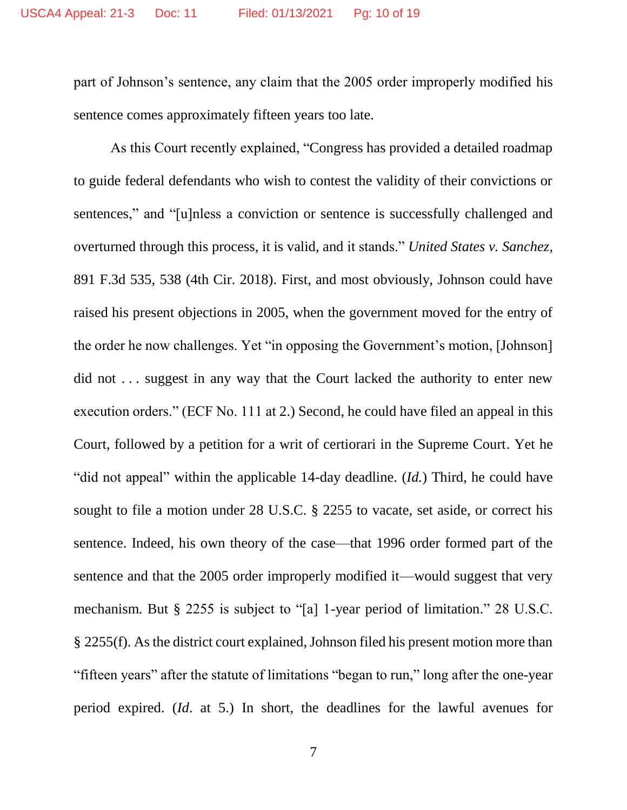part of Johnson's sentence, any claim that the 2005 order improperly modified his sentence comes approximately fifteen years too late.

As this Court recently explained, "Congress has provided a detailed roadmap to guide federal defendants who wish to contest the validity of their convictions or sentences," and "[u]nless a conviction or sentence is successfully challenged and overturned through this process, it is valid, and it stands." *United States v. Sanchez*, 891 F.3d 535, 538 (4th Cir. 2018). First, and most obviously, Johnson could have raised his present objections in 2005, when the government moved for the entry of the order he now challenges. Yet "in opposing the Government's motion, [Johnson] did not ... suggest in any way that the Court lacked the authority to enter new execution orders." (ECF No. 111 at 2.) Second, he could have filed an appeal in this Court, followed by a petition for a writ of certiorari in the Supreme Court. Yet he "did not appeal" within the applicable 14-day deadline. (*Id.*) Third, he could have sought to file a motion under 28 U.S.C. § 2255 to vacate, set aside, or correct his sentence. Indeed, his own theory of the case—that 1996 order formed part of the sentence and that the 2005 order improperly modified it—would suggest that very mechanism. But § 2255 is subject to "[a] 1-year period of limitation." 28 U.S.C. § 2255(f). As the district court explained, Johnson filed his present motion more than "fifteen years" after the statute of limitations "began to run," long after the one-year period expired. (*Id*. at 5.) In short, the deadlines for the lawful avenues for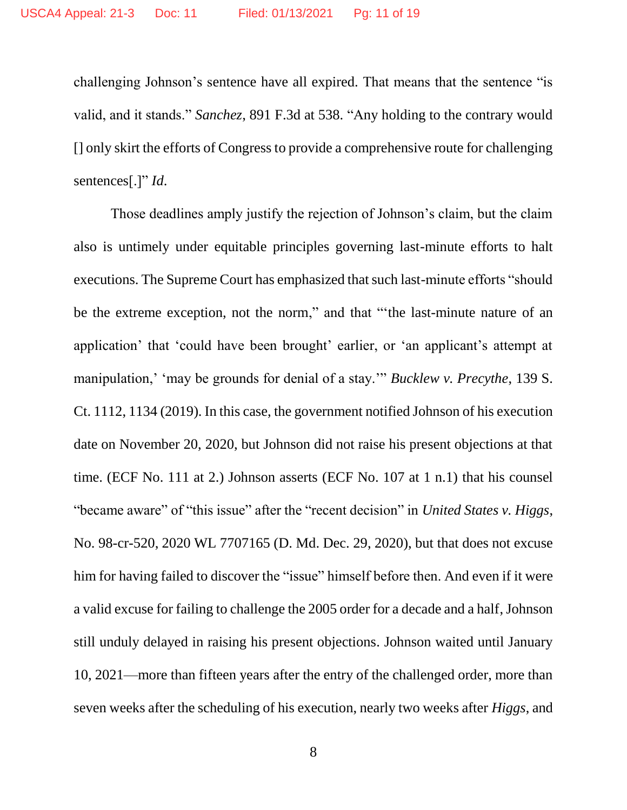challenging Johnson's sentence have all expired. That means that the sentence "is valid, and it stands." *Sanchez*, 891 F.3d at 538. "Any holding to the contrary would [] only skirt the efforts of Congress to provide a comprehensive route for challenging sentences[.]" *Id*.

Those deadlines amply justify the rejection of Johnson's claim, but the claim also is untimely under equitable principles governing last-minute efforts to halt executions. The Supreme Court has emphasized that such last-minute efforts "should be the extreme exception, not the norm," and that "'the last-minute nature of an application' that 'could have been brought' earlier, or 'an applicant's attempt at manipulation,' 'may be grounds for denial of a stay.'" *Bucklew v. Precythe*, 139 S. Ct. 1112, 1134 (2019). In this case, the government notified Johnson of his execution date on November 20, 2020, but Johnson did not raise his present objections at that time. (ECF No. 111 at 2.) Johnson asserts (ECF No. 107 at 1 n.1) that his counsel "became aware" of "this issue" after the "recent decision" in *United States v. Higgs*, No. 98-cr-520, 2020 WL 7707165 (D. Md. Dec. 29, 2020), but that does not excuse him for having failed to discover the "issue" himself before then. And even if it were a valid excuse for failing to challenge the 2005 order for a decade and a half, Johnson still unduly delayed in raising his present objections. Johnson waited until January 10, 2021—more than fifteen years after the entry of the challenged order, more than seven weeks after the scheduling of his execution, nearly two weeks after *Higgs*, and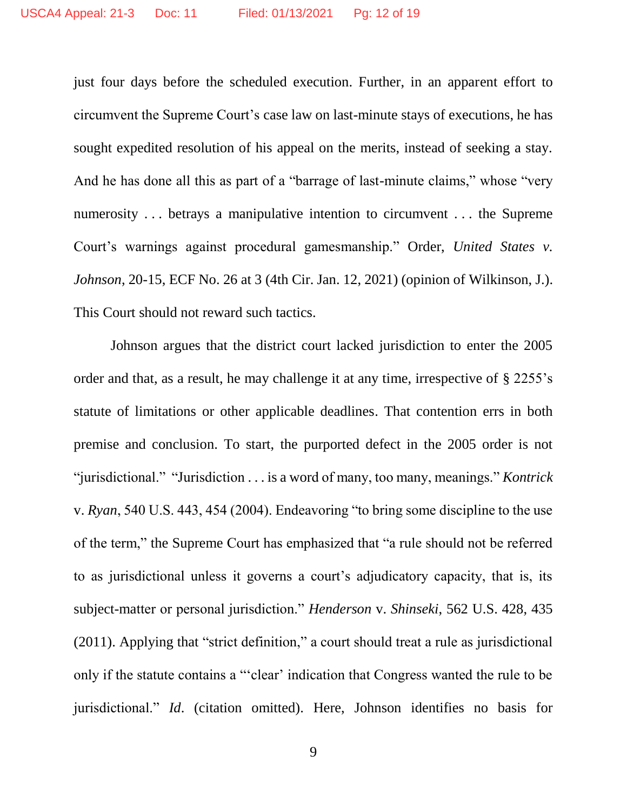just four days before the scheduled execution. Further, in an apparent effort to circumvent the Supreme Court's case law on last-minute stays of executions, he has sought expedited resolution of his appeal on the merits, instead of seeking a stay. And he has done all this as part of a "barrage of last-minute claims," whose "very numerosity . . . betrays a manipulative intention to circumvent . . . the Supreme Court's warnings against procedural gamesmanship." Order, *United States v. Johnson*, 20-15, ECF No. 26 at 3 (4th Cir. Jan. 12, 2021) (opinion of Wilkinson, J.). This Court should not reward such tactics.

Johnson argues that the district court lacked jurisdiction to enter the 2005 order and that, as a result, he may challenge it at any time, irrespective of § 2255's statute of limitations or other applicable deadlines. That contention errs in both premise and conclusion. To start, the purported defect in the 2005 order is not "jurisdictional." "Jurisdiction . . . is a word of many, too many, meanings." *Kontrick* v. *Ryan*, 540 U.S. 443, 454 (2004). Endeavoring "to bring some discipline to the use of the term," the Supreme Court has emphasized that "a rule should not be referred to as jurisdictional unless it governs a court's adjudicatory capacity, that is, its subject-matter or personal jurisdiction." *Henderson* v. *Shinseki*, 562 U.S. 428, 435 (2011). Applying that "strict definition," a court should treat a rule as jurisdictional only if the statute contains a "'clear' indication that Congress wanted the rule to be jurisdictional." *Id*. (citation omitted). Here, Johnson identifies no basis for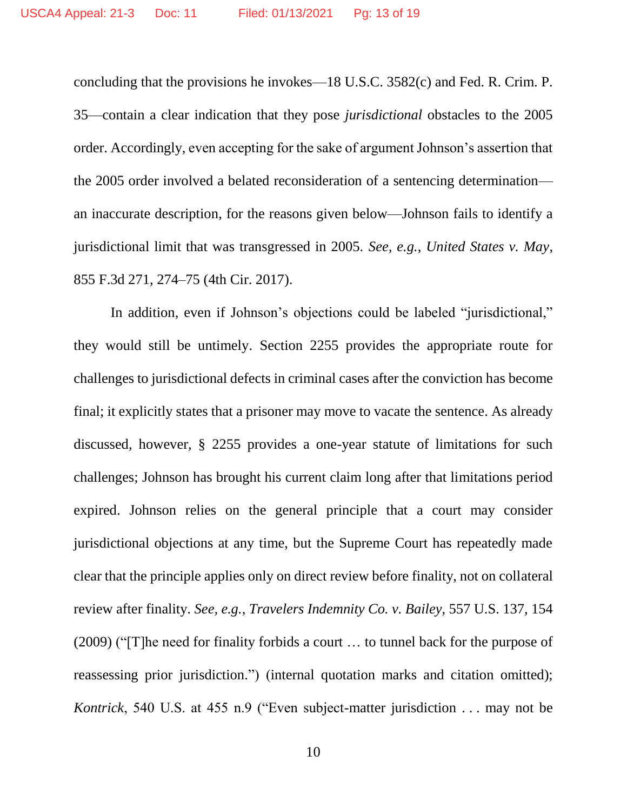concluding that the provisions he invokes—18 U.S.C. 3582(c) and Fed. R. Crim. P. 35—contain a clear indication that they pose *jurisdictional* obstacles to the 2005 order. Accordingly, even accepting for the sake of argument Johnson's assertion that the 2005 order involved a belated reconsideration of a sentencing determination an inaccurate description, for the reasons given below—Johnson fails to identify a jurisdictional limit that was transgressed in 2005. *See, e.g.*, *United States v. May*, 855 F.3d 271, 274–75 (4th Cir. 2017).

In addition, even if Johnson's objections could be labeled "jurisdictional," they would still be untimely. Section 2255 provides the appropriate route for challenges to jurisdictional defects in criminal cases after the conviction has become final; it explicitly states that a prisoner may move to vacate the sentence. As already discussed, however, § 2255 provides a one-year statute of limitations for such challenges; Johnson has brought his current claim long after that limitations period expired. Johnson relies on the general principle that a court may consider jurisdictional objections at any time, but the Supreme Court has repeatedly made clear that the principle applies only on direct review before finality, not on collateral review after finality. *See, e.g.*, *Travelers Indemnity Co. v. Bailey*, 557 U.S. 137, 154 (2009) ("[T]he need for finality forbids a court … to tunnel back for the purpose of reassessing prior jurisdiction.") (internal quotation marks and citation omitted); *Kontrick*, 540 U.S. at 455 n.9 ("Even subject-matter jurisdiction . . . may not be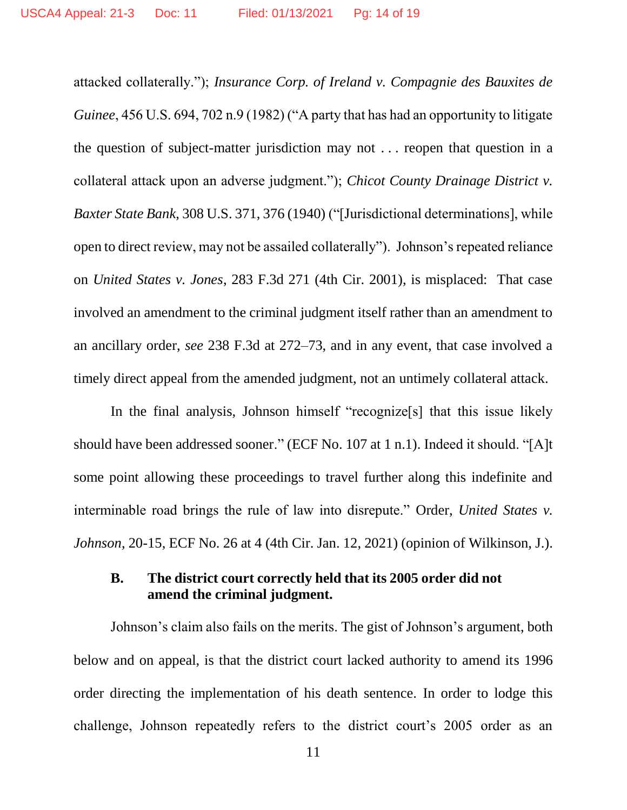attacked collaterally."); *Insurance Corp. of Ireland v. Compagnie des Bauxites de Guinee*, 456 U.S. 694, 702 n.9 (1982) ("A party that has had an opportunity to litigate the question of subject-matter jurisdiction may not . . . reopen that question in a collateral attack upon an adverse judgment."); *Chicot County Drainage District v. Baxter State Bank*, 308 U.S. 371, 376 (1940) ("[Jurisdictional determinations], while open to direct review, may not be assailed collaterally"). Johnson's repeated reliance on *United States v. Jones*, 283 F.3d 271 (4th Cir. 2001), is misplaced: That case involved an amendment to the criminal judgment itself rather than an amendment to an ancillary order, *see* 238 F.3d at 272–73, and in any event, that case involved a timely direct appeal from the amended judgment, not an untimely collateral attack.

In the final analysis, Johnson himself "recognize[s] that this issue likely should have been addressed sooner." (ECF No. 107 at 1 n.1). Indeed it should. "[A]t some point allowing these proceedings to travel further along this indefinite and interminable road brings the rule of law into disrepute." Order, *United States v. Johnson*, 20-15, ECF No. 26 at 4 (4th Cir. Jan. 12, 2021) (opinion of Wilkinson, J.).

## **B. The district court correctly held that its 2005 order did not amend the criminal judgment.**

Johnson's claim also fails on the merits. The gist of Johnson's argument, both below and on appeal, is that the district court lacked authority to amend its 1996 order directing the implementation of his death sentence. In order to lodge this challenge, Johnson repeatedly refers to the district court's 2005 order as an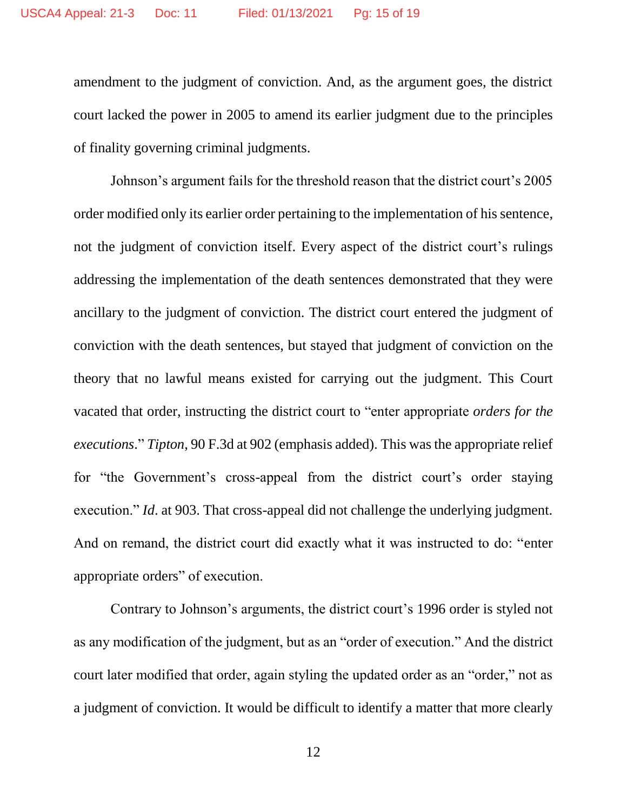amendment to the judgment of conviction. And, as the argument goes, the district court lacked the power in 2005 to amend its earlier judgment due to the principles of finality governing criminal judgments.

Johnson's argument fails for the threshold reason that the district court's 2005 order modified only its earlier order pertaining to the implementation of his sentence, not the judgment of conviction itself. Every aspect of the district court's rulings addressing the implementation of the death sentences demonstrated that they were ancillary to the judgment of conviction. The district court entered the judgment of conviction with the death sentences, but stayed that judgment of conviction on the theory that no lawful means existed for carrying out the judgment. This Court vacated that order, instructing the district court to "enter appropriate *orders for the executions*." *Tipton*, 90 F.3d at 902 (emphasis added). This was the appropriate relief for "the Government's cross-appeal from the district court's order staying execution." *Id.* at 903. That cross-appeal did not challenge the underlying judgment. And on remand, the district court did exactly what it was instructed to do: "enter appropriate orders" of execution.

Contrary to Johnson's arguments, the district court's 1996 order is styled not as any modification of the judgment, but as an "order of execution." And the district court later modified that order, again styling the updated order as an "order," not as a judgment of conviction. It would be difficult to identify a matter that more clearly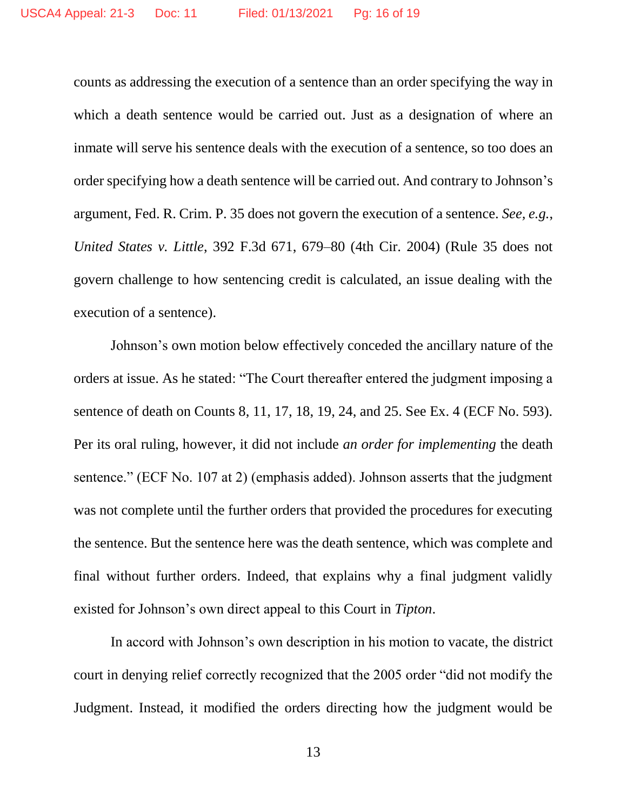counts as addressing the execution of a sentence than an order specifying the way in which a death sentence would be carried out. Just as a designation of where an inmate will serve his sentence deals with the execution of a sentence, so too does an order specifying how a death sentence will be carried out. And contrary to Johnson's argument, Fed. R. Crim. P. 35 does not govern the execution of a sentence. *See, e.g.*, *United States v. Little*, 392 F.3d 671, 679–80 (4th Cir. 2004) (Rule 35 does not govern challenge to how sentencing credit is calculated, an issue dealing with the execution of a sentence).

Johnson's own motion below effectively conceded the ancillary nature of the orders at issue. As he stated: "The Court thereafter entered the judgment imposing a sentence of death on Counts 8, 11, 17, 18, 19, 24, and 25. See Ex. 4 (ECF No. 593). Per its oral ruling, however, it did not include *an order for implementing* the death sentence." (ECF No. 107 at 2) (emphasis added). Johnson asserts that the judgment was not complete until the further orders that provided the procedures for executing the sentence. But the sentence here was the death sentence, which was complete and final without further orders. Indeed, that explains why a final judgment validly existed for Johnson's own direct appeal to this Court in *Tipton*.

In accord with Johnson's own description in his motion to vacate, the district court in denying relief correctly recognized that the 2005 order "did not modify the Judgment. Instead, it modified the orders directing how the judgment would be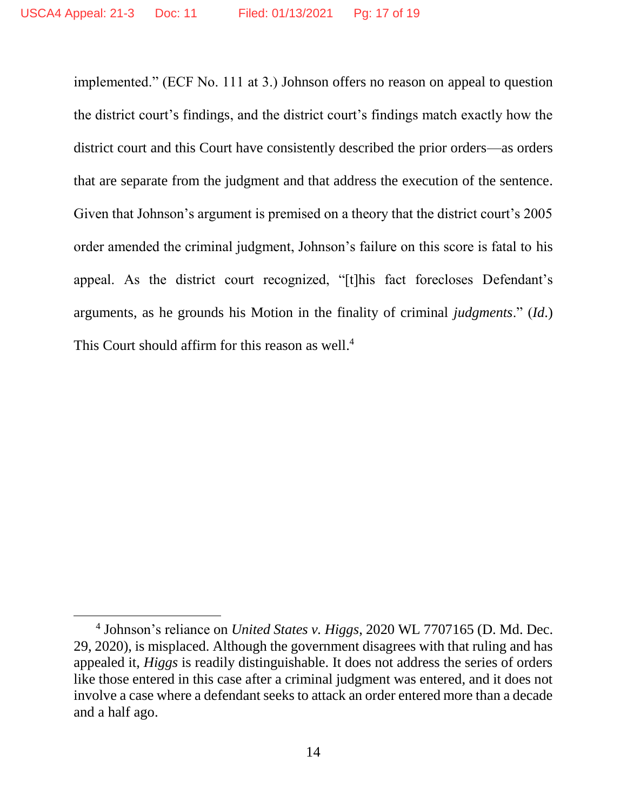implemented." (ECF No. 111 at 3.) Johnson offers no reason on appeal to question the district court's findings, and the district court's findings match exactly how the district court and this Court have consistently described the prior orders—as orders that are separate from the judgment and that address the execution of the sentence. Given that Johnson's argument is premised on a theory that the district court's 2005 order amended the criminal judgment, Johnson's failure on this score is fatal to his appeal. As the district court recognized, "[t]his fact forecloses Defendant's arguments, as he grounds his Motion in the finality of criminal *judgments*." (*Id*.) This Court should affirm for this reason as well.<sup>4</sup>

 $\overline{\phantom{a}}$ 

<sup>4</sup> Johnson's reliance on *United States v. Higgs*, 2020 WL 7707165 (D. Md. Dec. 29, 2020), is misplaced. Although the government disagrees with that ruling and has appealed it, *Higgs* is readily distinguishable. It does not address the series of orders like those entered in this case after a criminal judgment was entered, and it does not involve a case where a defendant seeks to attack an order entered more than a decade and a half ago.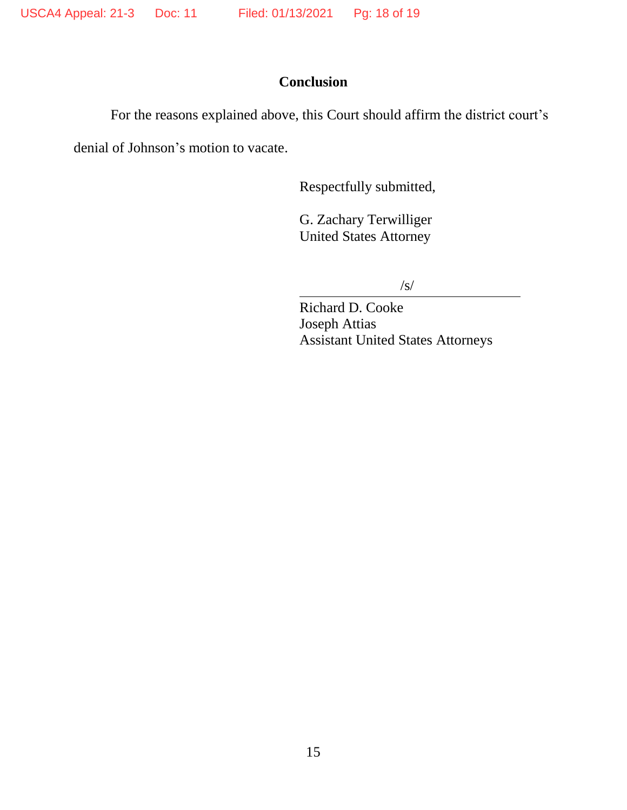## **Conclusion**

For the reasons explained above, this Court should affirm the district court's

denial of Johnson's motion to vacate.

Respectfully submitted,

G. Zachary Terwilliger United States Attorney

 $\sqrt{s}$ 

Richard D. Cooke Joseph Attias Assistant United States Attorneys